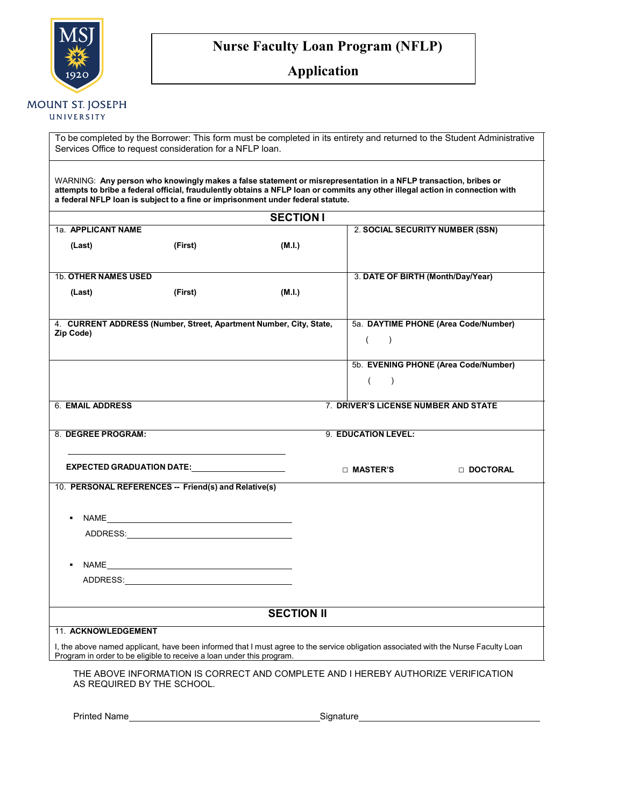

## **Nurse Faculty Loan Program (NFLP)**

### **Application**

### **MOUNT ST. JOSEPH**

UNIVERSITY

To be completed by the Borrower: This form must be completed in its entirety and returned to the Student Administrative Services Office to request consideration for a NFLP loan.

WARNING: **Any person who knowingly makes a false statement or misrepresentation in a NFLP transaction, bribes or**  attempts to bribe a federal official, fraudulently obtains a NFLP loan or commits any other illegal action in connection with **a federal NFLP loan is subject to a fine or imprisonment under federal statute.**

|                                                                                                                                                                                                                                |         | <b>SECTION I</b> |                                      |                                      |  |  |
|--------------------------------------------------------------------------------------------------------------------------------------------------------------------------------------------------------------------------------|---------|------------------|--------------------------------------|--------------------------------------|--|--|
| 1a. APPLICANT NAME                                                                                                                                                                                                             |         |                  | 2. SOCIAL SECURITY NUMBER (SSN)      |                                      |  |  |
| (Last)                                                                                                                                                                                                                         | (First) | (M.I.)           |                                      |                                      |  |  |
|                                                                                                                                                                                                                                |         |                  |                                      |                                      |  |  |
| <b>1b. OTHER NAMES USED</b>                                                                                                                                                                                                    |         |                  | 3. DATE OF BIRTH (Month/Day/Year)    |                                      |  |  |
| (Last)                                                                                                                                                                                                                         | (First) | (M.I.)           |                                      |                                      |  |  |
|                                                                                                                                                                                                                                |         |                  |                                      |                                      |  |  |
| 4. CURRENT ADDRESS (Number, Street, Apartment Number, City, State,                                                                                                                                                             |         |                  |                                      | 5a. DAYTIME PHONE (Area Code/Number) |  |  |
| Zip Code)                                                                                                                                                                                                                      |         |                  | $\overline{(\ }$<br>$\lambda$        |                                      |  |  |
|                                                                                                                                                                                                                                |         |                  |                                      |                                      |  |  |
|                                                                                                                                                                                                                                |         |                  |                                      | 5b. EVENING PHONE (Area Code/Number) |  |  |
|                                                                                                                                                                                                                                |         |                  | $\left($<br>$\lambda$                |                                      |  |  |
|                                                                                                                                                                                                                                |         |                  |                                      |                                      |  |  |
| 6. EMAIL ADDRESS                                                                                                                                                                                                               |         |                  | 7. DRIVER'S LICENSE NUMBER AND STATE |                                      |  |  |
|                                                                                                                                                                                                                                |         |                  |                                      |                                      |  |  |
| 8. DEGREE PROGRAM:<br>9. EDUCATION LEVEL:                                                                                                                                                                                      |         |                  |                                      |                                      |  |  |
|                                                                                                                                                                                                                                |         |                  |                                      |                                      |  |  |
| EXPECTED GRADUATION DATE: North Case of the Case of the Case of the Case of the Case of the Case of the Case o                                                                                                                 |         |                  | □ MASTER'S                           | DOCTORAL                             |  |  |
| 10. PERSONAL REFERENCES -- Friend(s) and Relative(s)                                                                                                                                                                           |         |                  |                                      |                                      |  |  |
|                                                                                                                                                                                                                                |         |                  |                                      |                                      |  |  |
| NAME And the state of the state of the state of the state of the state of the state of the state of the state of the state of the state of the state of the state of the state of the state of the state of the state of the s |         |                  |                                      |                                      |  |  |
| ADDRESS: ADDRESS:                                                                                                                                                                                                              |         |                  |                                      |                                      |  |  |
|                                                                                                                                                                                                                                |         |                  |                                      |                                      |  |  |
|                                                                                                                                                                                                                                |         |                  |                                      |                                      |  |  |
|                                                                                                                                                                                                                                |         |                  |                                      |                                      |  |  |
| ADDRESS: ADDRESS:                                                                                                                                                                                                              |         |                  |                                      |                                      |  |  |
|                                                                                                                                                                                                                                |         |                  |                                      |                                      |  |  |
| <b>SECTION II</b>                                                                                                                                                                                                              |         |                  |                                      |                                      |  |  |
| 11. ACKNOWLEDGEMENT                                                                                                                                                                                                            |         |                  |                                      |                                      |  |  |
| I, the above named applicant, have been informed that I must agree to the service obligation associated with the Nurse Faculty Loan                                                                                            |         |                  |                                      |                                      |  |  |
| Program in order to be eligible to receive a loan under this program.                                                                                                                                                          |         |                  |                                      |                                      |  |  |
| THE ABOVE INFORMATION IS CORRECT AND COMPLETE AND I HEREBY AUTHORIZE VERIFICATION                                                                                                                                              |         |                  |                                      |                                      |  |  |

AS REQUIRED BY THE SCHOOL.

| <b>Printed Name</b> |
|---------------------|
|---------------------|

Signature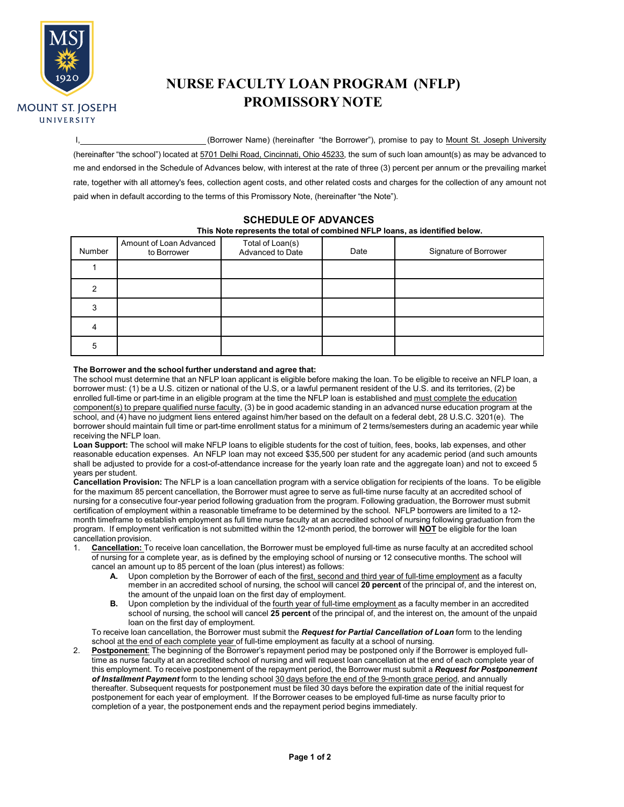

# **NURSE FACULTY LOAN PROGRAM (NFLP) PROMISSORY NOTE**

I, (Borrower Name) (hereinafter "the Borrower"), promise to pay to Mount St. Joseph University

(hereinafter "the school") located at 5701 Delhi Road, Cincinnati, Ohio 45233, the sum of such loan amount(s) as may be advanced to me and endorsed in the Schedule of Advances below, with interest at the rate of three (3) percent per annum or the prevailing market rate, together with all attorney's fees, collection agent costs, and other related costs and charges for the collection of any amount not paid when in default according to the terms of this Promissory Note, (hereinafter "the Note").

#### **SCHEDULE OF ADVANCES**

#### **This Note represents the total of combined NFLP loans, as identified below.**

| Number | Amount of Loan Advanced<br>to Borrower | Total of Loan(s)<br>Advanced to Date | Date | Signature of Borrower |
|--------|----------------------------------------|--------------------------------------|------|-----------------------|
|        |                                        |                                      |      |                       |
| າ      |                                        |                                      |      |                       |
| 3      |                                        |                                      |      |                       |
|        |                                        |                                      |      |                       |
| 5      |                                        |                                      |      |                       |

#### **The Borrower and the school further understand and agree that:**

The school must determine that an NFLP loan applicant is eligible before making the loan. To be eligible to receive an NFLP loan, a borrower must: (1) be a U.S. citizen or national of the U.S, or a lawful permanent resident of the U.S. and its territories, (2) be enrolled full-time or part-time in an eligible program at the time the NFLP loan is established and must complete the education component(s) to prepare qualified nurse faculty, (3) be in good academic standing in an advanced nurse education program at the school, and (4) have no judgment liens entered against him/her based on the default on a federal debt, 28 U.S.C. 3201(e). The borrower should maintain full time or part-time enrollment status for a minimum of 2 terms/semesters during an academic year while receiving the NFLP loan.

**Loan Support:** The school will make NFLP loans to eligible students for the cost of tuition, fees, books, lab expenses, and other reasonable education expenses. An NFLP loan may not exceed \$35,500 per student for any academic period (and such amounts shall be adjusted to provide for a cost-of-attendance increase for the yearly loan rate and the aggregate loan) and not to exceed 5 years per student.

**Cancellation Provision:** The NFLP is a loan cancellation program with a service obligation for recipients of the loans. To be eligible for the maximum 85 percent cancellation, the Borrower must agree to serve as full-time nurse faculty at an accredited school of nursing for a consecutive four-year period following graduation from the program. Following graduation, the Borrower must submit certification of employment within a reasonable timeframe to be determined by the school. NFLP borrowers are limited to a 12 month timeframe to establish employment as full time nurse faculty at an accredited school of nursing following graduation from the program. If employment verification is not submitted within the 12-month period, the borrower will **NOT** be eligible for the loan cancellation provision.

- 1. **Cancellation:** To receive loan cancellation, the Borrower must be employed full-time as nurse faculty at an accredited school of nursing for a complete year, as is defined by the employing school of nursing or 12 consecutive months. The school will cancel an amount up to 85 percent of the loan (plus interest) as follows:
	- **A.** Upon completion by the Borrower of each of the first, second and third year of full-time employment as a faculty member in an accredited school of nursing, the school will cancel **20 percent** of the principal of, and the interest on, the amount of the unpaid loan on the first day of employment.
	- **B.** Upon completion by the individual of the fourth year of full-time employment as a faculty member in an accredited school of nursing, the school will cancel **25 percent** of the principal of, and the interest on, the amount of the unpaid loan on the first day of employment.

To receive loan cancellation, the Borrower must submit the *Request for Partial Cancellation of Loan* form to the lending school at the end of each complete year of full-time employment as faculty at a school of nursing.

2. **Postponement**: The beginning of the Borrower's repayment period may be postponed only if the Borrower is employed fulltime as nurse faculty at an accredited school of nursing and will request loan cancellation at the end of each complete year of this employment. To receive postponement of the repayment period, the Borrower must submit a *Request for Postponement of Installment Payment* form to the lending school 30 days before the end of the 9-month grace period, and annually thereafter. Subsequent requests for postponement must be filed 30 days before the expiration date of the initial request for postponement for each year of employment. If the Borrower ceases to be employed full-time as nurse faculty prior to completion of a year, the postponement ends and the repayment period begins immediately.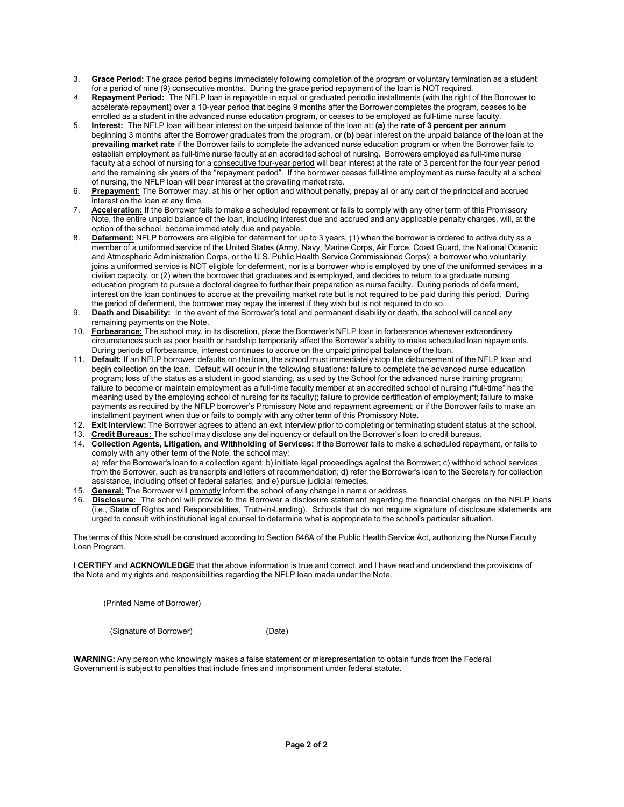- 3. **Grace Period:** The grace period begins immediately following completion of the program or voluntary termination as a student for a period of nine (9) consecutive months. During the grace period repayment of the loan is NOT required.
- *4.* **Repayment Period:** The NFLP loan is repayable in equal or graduated periodic installments (with the right of the Borrower to accelerate repayment) over a 10-year period that begins 9 months after the Borrower completes the program, ceases to be enrolled as a student in the advanced nurse education program, or ceases to be employed as full-time nurse faculty.
- 5. **Interest:** The NFLP loan will bear interest on the unpaid balance of the loan at: **(a)** the **rate of 3 percent per annum** beginning 3 months after the Borrower graduates from the program, or **(b)** bear interest on the unpaid balance of the loan at the **prevailing market rate** if the Borrower fails to complete the advanced nurse education program or when the Borrower fails to establish employment as full-time nurse faculty at an accredited school of nursing. Borrowers employed as full-time nurse faculty at a school of nursing for a consecutive four-year period will bear interest at the rate of 3 percent for the four year period and the remaining six years of the "repayment period". If the borrower ceases full-time employment as nurse faculty at a school of nursing, the NFLP loan will bear interest at the prevailing market rate.
- 6. **Prepayment:** The Borrower may, at his or her option and without penalty, prepay all or any part of the principal and accrued interest on the loan at any time.
- 7. **Acceleration:** If the Borrower fails to make a scheduled repayment or fails to comply with any other term of this Promissory Note, the entire unpaid balance of the loan, including interest due and accrued and any applicable penalty charges, will, at the option of the school, become immediately due and payable.
- 8. **Deferment:** NFLP borrowers are eligible for deferment for up to 3 years, (1) when the borrower is ordered to active duty as a member of a uniformed service of the United States (Army, Navy, Marine Corps, Air Force, Coast Guard, the National Oceanic and Atmospheric Administration Corps, or the U.S. Public Health Service Commissioned Corps); a borrower who voluntarily joins a uniformed service is NOT eligible for deferment, nor is a borrower who is employed by one of the uniformed services in a civilian capacity, or (2) when the borrower that graduates and is employed, and decides to return to a graduate nursing education program to pursue a doctoral degree to further their preparation as nurse faculty. During periods of deferment, interest on the loan continues to accrue at the prevailing market rate but is not required to be paid during this period. During the period of deferment, the borrower may repay the interest if they wish but is not required to do so.
- 9. **Death and Disability:** In the event of the Borrower's total and permanent disability or death, the school will cancel any remaining payments on the Note.
- 10. **Forbearance:** The school may, in its discretion, place the Borrower's NFLP loan in forbearance whenever extraordinary circumstances such as poor health or hardship temporarily affect the Borrower's ability to make scheduled loan repayments. During periods of forbearance, interest continues to accrue on the unpaid principal balance of the loan.
- 11. **Default:** If an NFLP borrower defaults on the loan, the school must immediately stop the disbursement of the NFLP loan and begin collection on the loan. Default will occur in the following situations: failure to complete the advanced nurse education program; loss of the status as a student in good standing, as used by the School for the advanced nurse training program; failure to become or maintain employment as a full-time faculty member at an accredited school of nursing ("full-time" has the meaning used by the employing school of nursing for its faculty); failure to provide certification of employment; failure to make payments as required by the NFLP borrower's Promissory Note and repayment agreement; or if the Borrower fails to make an installment payment when due or fails to comply with any other term of this Promissory Note.
- 12. **Exit Interview:** The Borrower agrees to attend an exit interview prior to completing or terminating student status at the school.
- 13. **Credit Bureaus:** The school may disclose any delinquency or default on the Borrower's loan to credit bureaus.
- 14. **Collection Agents, Litigation, and Withholding of Services:** If the Borrower fails to make a scheduled repayment, or fails to comply with any other term of the Note, the school may: a) refer the Borrower's loan to a collection agent; b) initiate legal proceedings against the Borrower; c) withhold school services from the Borrower, such as transcripts and letters of recommendation; d) refer the Borrower's loan to the Secretary for collection assistance, including offset of federal salaries; and e) pursue judicial remedies.
- 15. **General:** The Borrower will promptly inform the school of any change in name or address.
- 16. **Disclosure:** The school will provide to the Borrower a disclosure statement regarding the financial charges on the NFLP loans (i.e., State of Rights and Responsibilities, Truth-in-Lending). Schools that do not require signature of disclosure statements are urged to consult with institutional legal counsel to determine what is appropriate to the school's particular situation.

The terms of this Note shall be construed according to Section 846A of the Public Health Service Act, authorizing the Nurse Faculty Loan Program.

I **CERTIFY** and **ACKNOWLEDGE** that the above information is true and correct, and I have read and understand the provisions of the Note and my rights and responsibilities regarding the NFLP loan made under the Note.

(Printed Name of Borrower)

(Signature of Borrower) (Date)

**WARNING:** Any person who knowingly makes a false statement or misrepresentation to obtain funds from the Federal Government is subject to penalties that include fines and imprisonment under federal statute.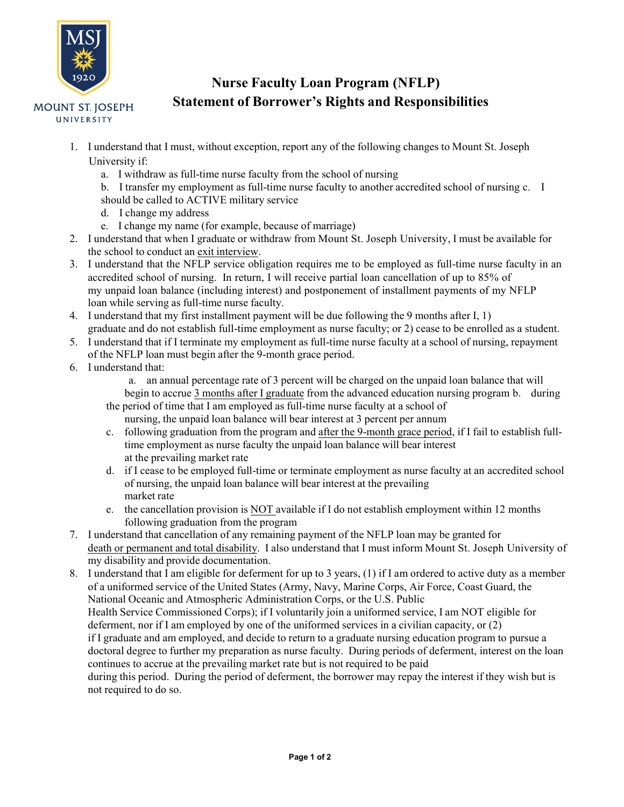

# **Nurse Faculty Loan Program (NFLP) Statement of Borrower's Rights and Responsibilities**

- 1. I understand that I must, without exception, report any of the following changes to Mount St. Joseph University if:
	- a. I withdraw as full-time nurse faculty from the school of nursing
	- b. I transfer my employment as full-time nurse faculty to another accredited school of nursing c. I should be called to ACTIVE military service
	- d. I change my address
	- e. I change my name (for example, because of marriage)
- 2. I understand that when I graduate or withdraw from Mount St. Joseph University, I must be available for the school to conduct an exit interview.
- 3. I understand that the NFLP service obligation requires me to be employed as full-time nurse faculty in an accredited school of nursing. In return, I will receive partial loan cancellation of up to 85% of my unpaid loan balance (including interest) and postponement of installment payments of my NFLP loan while serving as full-time nurse faculty.
- 4. I understand that my first installment payment will be due following the 9 months after I, 1) graduate and do not establish full-time employment as nurse faculty; or 2) cease to be enrolled as a student.
- 5. I understand that if I terminate my employment as full-time nurse faculty at a school of nursing, repayment of the NFLP loan must begin after the 9-month grace period.
- 6. I understand that:
	- a. an annual percentage rate of 3 percent will be charged on the unpaid loan balance that will begin to accrue 3 months after I graduate from the advanced education nursing program b. during the period of time that I am employed as full-time nurse faculty at a school of
		- nursing, the unpaid loan balance will bear interest at 3 percent per annum
	- c. following graduation from the program and after the 9-month grace period, if I fail to establish fulltime employment as nurse faculty the unpaid loan balance will bear interest at the prevailing market rate
	- d. if I cease to be employed full-time or terminate employment as nurse faculty at an accredited school of nursing, the unpaid loan balance will bear interest at the prevailing market rate
	- e. the cancellation provision is NOT available if I do not establish employment within 12 months following graduation from the program
- 7. I understand that cancellation of any remaining payment of the NFLP loan may be granted for death or permanent and total disability. I also understand that I must inform Mount St. Joseph University of my disability and provide documentation.
- 8. I understand that I am eligible for deferment for up to 3 years, (1) if I am ordered to active duty as a member of a uniformed service of the United States (Army, Navy, Marine Corps, Air Force, Coast Guard, the National Oceanic and Atmospheric Administration Corps, or the U.S. Public Health Service Commissioned Corps); if I voluntarily join a uniformed service, I am NOT eligible for deferment, nor if I am employed by one of the uniformed services in a civilian capacity, or (2) if I graduate and am employed, and decide to return to a graduate nursing education program to pursue a doctoral degree to further my preparation as nurse faculty. During periods of deferment, interest on the loan continues to accrue at the prevailing market rate but is not required to be paid during this period. During the period of deferment, the borrower may repay the interest if they wish but is not required to do so.